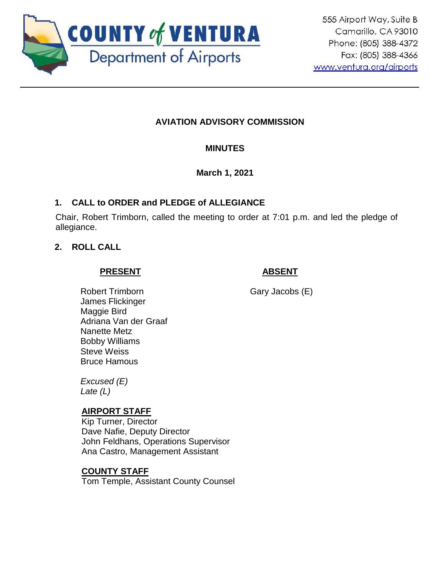

# **AVIATION ADVISORY COMMISSION**

# **MINUTES**

# **March 1, 2021**

# **1. CALL to ORDER and PLEDGE of ALLEGIANCE**

Chair, Robert Trimborn, called the meeting to order at 7:01 p.m. and led the pledge of allegiance.

# **2. ROLL CALL**

#### **PRESENT**

# **ABSENT**

Gary Jacobs (E)

Robert Trimborn James Flickinger Maggie Bird Adriana Van der Graaf Nanette Metz Bobby Williams Steve Weiss Bruce Hamous

*Excused (E) Late (L)*

## **AIRPORT STAFF**

Kip Turner, Director Dave Nafie, Deputy Director John Feldhans, Operations Supervisor Ana Castro, Management Assistant

## **COUNTY STAFF**

Tom Temple, Assistant County Counsel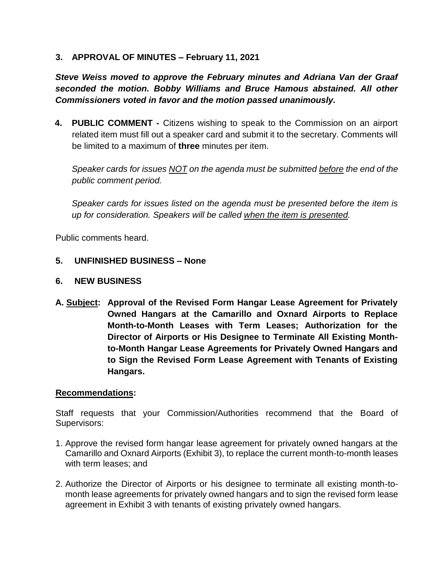### **3. APPROVAL OF MINUTES – February 11, 2021**

*Steve Weiss moved to approve the February minutes and Adriana Van der Graaf seconded the motion. Bobby Williams and Bruce Hamous abstained. All other Commissioners voted in favor and the motion passed unanimously.*

**4. PUBLIC COMMENT -** Citizens wishing to speak to the Commission on an airport related item must fill out a speaker card and submit it to the secretary. Comments will be limited to a maximum of **three** minutes per item.

*Speaker cards for issues NOT on the agenda must be submitted before the end of the public comment period.* 

*Speaker cards for issues listed on the agenda must be presented before the item is up for consideration. Speakers will be called when the item is presented.*

Public comments heard.

#### **5. UNFINISHED BUSINESS – None**

#### **6. NEW BUSINESS**

**A. Subject: Approval of the Revised Form Hangar Lease Agreement for Privately Owned Hangars at the Camarillo and Oxnard Airports to Replace Month-to-Month Leases with Term Leases; Authorization for the Director of Airports or His Designee to Terminate All Existing Monthto-Month Hangar Lease Agreements for Privately Owned Hangars and to Sign the Revised Form Lease Agreement with Tenants of Existing Hangars.**

#### **Recommendations:**

Staff requests that your Commission/Authorities recommend that the Board of Supervisors:

- 1. Approve the revised form hangar lease agreement for privately owned hangars at the Camarillo and Oxnard Airports (Exhibit 3), to replace the current month-to-month leases with term leases; and
- 2. Authorize the Director of Airports or his designee to terminate all existing month-tomonth lease agreements for privately owned hangars and to sign the revised form lease agreement in Exhibit 3 with tenants of existing privately owned hangars.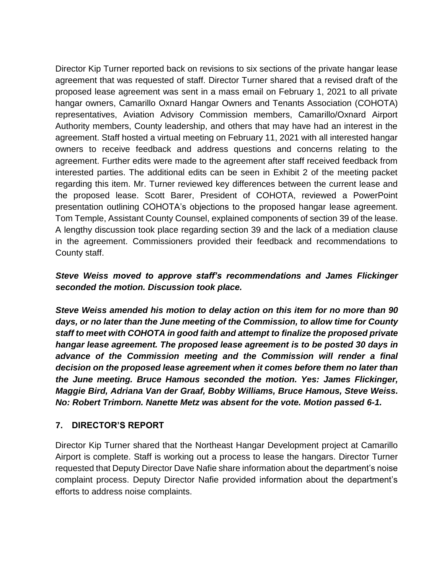Director Kip Turner reported back on revisions to six sections of the private hangar lease agreement that was requested of staff. Director Turner shared that a revised draft of the proposed lease agreement was sent in a mass email on February 1, 2021 to all private hangar owners, Camarillo Oxnard Hangar Owners and Tenants Association (COHOTA) representatives, Aviation Advisory Commission members, Camarillo/Oxnard Airport Authority members, County leadership, and others that may have had an interest in the agreement. Staff hosted a virtual meeting on February 11, 2021 with all interested hangar owners to receive feedback and address questions and concerns relating to the agreement. Further edits were made to the agreement after staff received feedback from interested parties. The additional edits can be seen in Exhibit 2 of the meeting packet regarding this item. Mr. Turner reviewed key differences between the current lease and the proposed lease. Scott Barer, President of COHOTA, reviewed a PowerPoint presentation outlining COHOTA's objections to the proposed hangar lease agreement. Tom Temple, Assistant County Counsel, explained components of section 39 of the lease. A lengthy discussion took place regarding section 39 and the lack of a mediation clause in the agreement. Commissioners provided their feedback and recommendations to County staff.

# *Steve Weiss moved to approve staff's recommendations and James Flickinger seconded the motion. Discussion took place.*

*Steve Weiss amended his motion to delay action on this item for no more than 90 days, or no later than the June meeting of the Commission, to allow time for County staff to meet with COHOTA in good faith and attempt to finalize the proposed private hangar lease agreement. The proposed lease agreement is to be posted 30 days in advance of the Commission meeting and the Commission will render a final decision on the proposed lease agreement when it comes before them no later than the June meeting. Bruce Hamous seconded the motion. Yes: James Flickinger, Maggie Bird, Adriana Van der Graaf, Bobby Williams, Bruce Hamous, Steve Weiss. No: Robert Trimborn. Nanette Metz was absent for the vote. Motion passed 6-1.* 

## **7. DIRECTOR'S REPORT**

Director Kip Turner shared that the Northeast Hangar Development project at Camarillo Airport is complete. Staff is working out a process to lease the hangars. Director Turner requested that Deputy Director Dave Nafie share information about the department's noise complaint process. Deputy Director Nafie provided information about the department's efforts to address noise complaints.